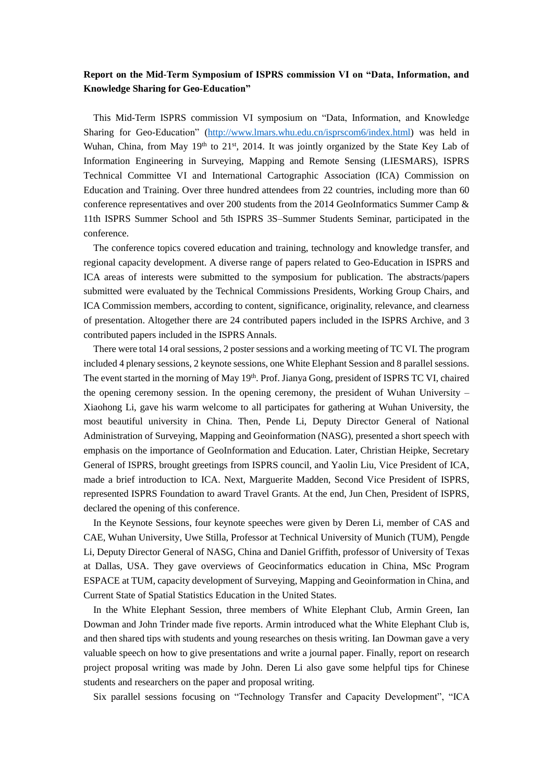## **Report on the Mid-Term Symposium of ISPRS commission VI on "Data, Information, and Knowledge Sharing for Geo-Education"**

This Mid-Term ISPRS commission VI symposium on "Data, Information, and Knowledge Sharing for Geo-Education" [\(http://www.lmars.whu.edu.cn/isprscom6/index.html\)](http://www.lmars.whu.edu.cn/isprscom6/index.html) was held in Wuhan, China, from May 19<sup>th</sup> to 21<sup>st</sup>, 2014. It was jointly organized by the State Key Lab of Information Engineering in Surveying, Mapping and Remote Sensing (LIESMARS), ISPRS Technical Committee VI and International Cartographic Association (ICA) Commission on Education and Training. Over three hundred attendees from 22 countries, including more than 60 conference representatives and over 200 students from the 2014 GeoInformatics Summer Camp & 11th ISPRS Summer School and 5th ISPRS 3S–Summer Students Seminar, participated in the conference.

The conference topics covered education and training, technology and knowledge transfer, and regional capacity development. A diverse range of papers related to Geo-Education in ISPRS and ICA areas of interests were submitted to the symposium for publication. The abstracts/papers submitted were evaluated by the Technical Commissions Presidents, Working Group Chairs, and ICA Commission members, according to content, significance, originality, relevance, and clearness of presentation. Altogether there are 24 contributed papers included in the ISPRS Archive, and 3 contributed papers included in the ISPRS Annals.

There were total 14 oral sessions, 2 poster sessions and a working meeting of TC VI. The program included 4 plenary sessions, 2 keynote sessions, one White Elephant Session and 8 parallel sessions. The event started in the morning of May 19<sup>th</sup>. Prof. Jianya Gong, president of ISPRS TC VI, chaired the opening ceremony session. In the opening ceremony, the president of Wuhan University – Xiaohong Li, gave his warm welcome to all participates for gathering at Wuhan University, the most beautiful university in China. Then, Pende Li, Deputy Director General of National Administration of Surveying, Mapping and Geoinformation (NASG), presented a short speech with emphasis on the importance of GeoInformation and Education. Later, Christian Heipke, Secretary General of ISPRS, brought greetings from ISPRS council, and Yaolin Liu, Vice President of ICA, made a brief introduction to ICA. Next, Marguerite Madden, Second Vice President of ISPRS, represented ISPRS Foundation to award Travel Grants. At the end, Jun Chen, President of ISPRS, declared the opening of this conference.

In the Keynote Sessions, four keynote speeches were given by Deren Li, member of CAS and CAE, Wuhan University, Uwe Stilla, Professor at Technical University of Munich (TUM), Pengde Li, Deputy Director General of NASG, China and Daniel Griffith, professor of University of Texas at Dallas, USA. They gave overviews of Geocinformatics education in China, MSc Program ESPACE at TUM, capacity development of Surveying, Mapping and Geoinformation in China, and Current State of Spatial Statistics Education in the United States.

In the White Elephant Session, three members of White Elephant Club, Armin Green, Ian Dowman and John Trinder made five reports. Armin introduced what the White Elephant Club is, and then shared tips with students and young researches on thesis writing. Ian Dowman gave a very valuable speech on how to give presentations and write a journal paper. Finally, report on research project proposal writing was made by John. Deren Li also gave some helpful tips for Chinese students and researchers on the paper and proposal writing.

Six parallel sessions focusing on "Technology Transfer and Capacity Development", "ICA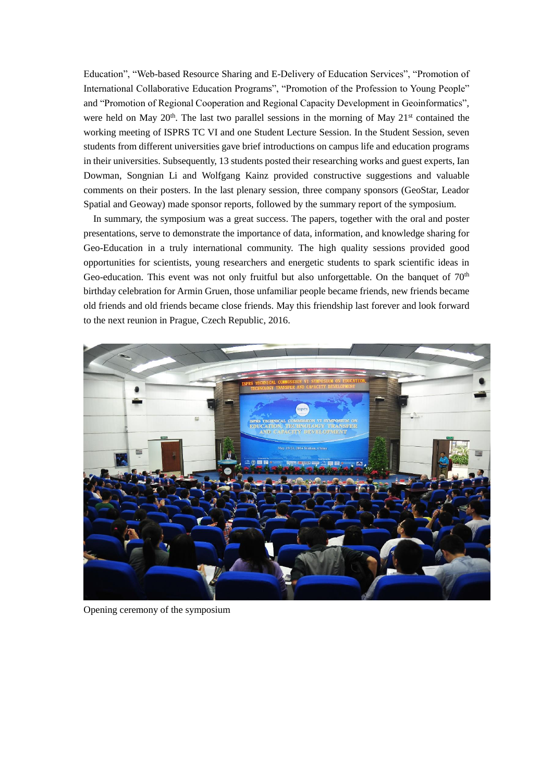Education", "Web-based Resource Sharing and E-Delivery of Education Services", "Promotion of International Collaborative Education Programs", "Promotion of the Profession to Young People" and "Promotion of Regional Cooperation and Regional Capacity Development in Geoinformatics", were held on May  $20<sup>th</sup>$ . The last two parallel sessions in the morning of May  $21<sup>st</sup>$  contained the working meeting of ISPRS TC VI and one Student Lecture Session. In the Student Session, seven students from different universities gave brief introductions on campus life and education programs in their universities. Subsequently, 13 students posted their researching works and guest experts, Ian Dowman, Songnian Li and Wolfgang Kainz provided constructive suggestions and valuable comments on their posters. In the last plenary session, three company sponsors (GeoStar, Leador Spatial and Geoway) made sponsor reports, followed by the summary report of the symposium.

In summary, the symposium was a great success. The papers, together with the oral and poster presentations, serve to demonstrate the importance of data, information, and knowledge sharing for Geo-Education in a truly international community. The high quality sessions provided good opportunities for scientists, young researchers and energetic students to spark scientific ideas in Geo-education. This event was not only fruitful but also unforgettable. On the banquet of  $70<sup>th</sup>$ birthday celebration for Armin Gruen, those unfamiliar people became friends, new friends became old friends and old friends became close friends. May this friendship last forever and look forward to the next reunion in Prague, Czech Republic, 2016.



Opening ceremony of the symposium